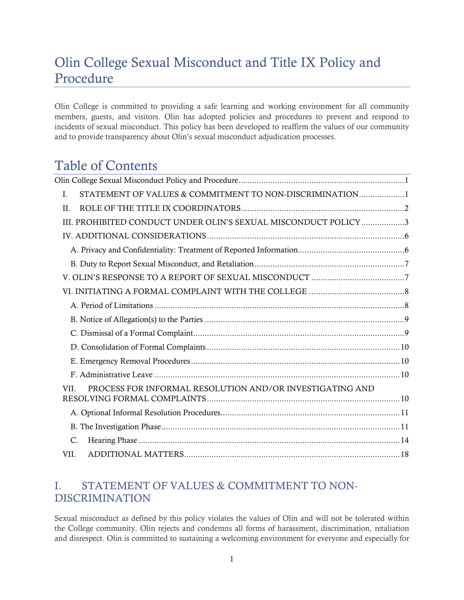# <span id="page-0-0"></span>Olin College Sexual Misconduct and Title IX Policy and Procedure

Olin College is committed to providing a safe learning and working environment for all community members, guests, and visitors. Olin has adopted policies and procedures to prevent and respond to incidents of sexual misconduct. This policy has been developed to reaffirm the values of our community and to provide transparency about Olin's sexual misconduct adjudication processes.

# Table of Contents

| STATEMENT OF VALUES & COMMITMENT TO NON-DISCRIMINATION1<br>Ι.   |
|-----------------------------------------------------------------|
| $H$ .                                                           |
| III. PROHIBITED CONDUCT UNDER OLIN'S SEXUAL MISCONDUCT POLICY3  |
|                                                                 |
|                                                                 |
|                                                                 |
|                                                                 |
|                                                                 |
|                                                                 |
|                                                                 |
|                                                                 |
|                                                                 |
|                                                                 |
|                                                                 |
| PROCESS FOR INFORMAL RESOLUTION AND/OR INVESTIGATING AND<br>VII |
|                                                                 |
|                                                                 |
| C.                                                              |
| VII.                                                            |
|                                                                 |

# <span id="page-0-1"></span>I. STATEMENT OF VALUES & COMMITMENT TO NON-DISCRIMINATION

Sexual misconduct as defined by this policy violates the values of Olin and will not be tolerated within the College community. Olin rejects and condemns all forms of harassment, discrimination, retaliation and disrespect. Olin is committed to sustaining a welcoming environment for everyone and especially for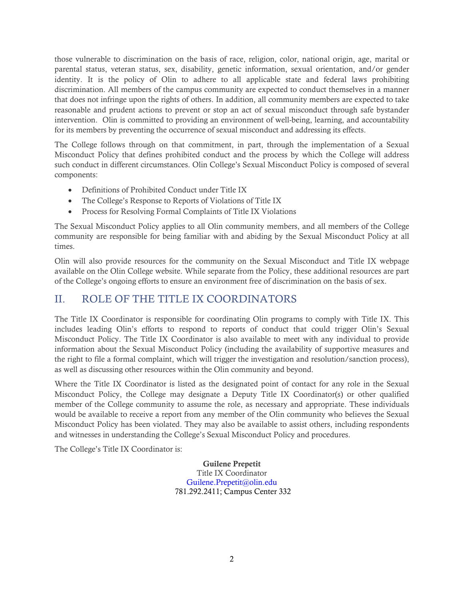those vulnerable to discrimination on the basis of race, religion, color, national origin, age, marital or parental status, veteran status, sex, disability, genetic information, sexual orientation, and/or gender identity. It is the policy of Olin to adhere to all applicable state and federal laws prohibiting discrimination. All members of the campus community are expected to conduct themselves in a manner that does not infringe upon the rights of others. In addition, all community members are expected to take reasonable and prudent actions to prevent or stop an act of sexual misconduct through safe bystander intervention. Olin is committed to providing an environment of well-being, learning, and accountability for its members by preventing the occurrence of sexual misconduct and addressing its effects.

The College follows through on that commitment, in part, through the implementation of a Sexual Misconduct Policy that defines prohibited conduct and the process by which the College will address such conduct in different circumstances. Olin College's Sexual Misconduct Policy is composed of several components:

- Definitions of Prohibited Conduct under Title IX
- The College's Response to Reports of Violations of Title IX
- Process for Resolving Formal Complaints of Title IX Violations

The Sexual Misconduct Policy applies to all Olin community members, and all members of the College community are responsible for being familiar with and abiding by the Sexual Misconduct Policy at all times.

Olin will also provide resources for the community on the Sexual Misconduct and Title IX webpage available on the Olin College website. While separate from the Policy, these additional resources are part of the College's ongoing efforts to ensure an environment free of discrimination on the basis of sex.

## <span id="page-1-0"></span>II. ROLE OF THE TITLE IX COORDINATORS

The Title IX Coordinator is responsible for coordinating Olin programs to comply with Title IX. This includes leading Olin's efforts to respond to reports of conduct that could trigger Olin's Sexual Misconduct Policy. The Title IX Coordinator is also available to meet with any individual to provide information about the Sexual Misconduct Policy (including the availability of supportive measures and the right to file a formal complaint, which will trigger the investigation and resolution/sanction process), as well as discussing other resources within the Olin community and beyond.

Where the Title IX Coordinator is listed as the designated point of contact for any role in the Sexual Misconduct Policy, the College may designate a Deputy Title IX Coordinator(s) or other qualified member of the College community to assume the role, as necessary and appropriate. These individuals would be available to receive a report from any member of the Olin community who believes the Sexual Misconduct Policy has been violated. They may also be available to assist others, including respondents and witnesses in understanding the College's Sexual Misconduct Policy and procedures.

The College's Title IX Coordinator is:

Guilene Prepetit Title IX Coordinator [Guilene.Prepetit@olin.edu](mailto:Guilene.Prepetit@olin.edu) 781.292.2411; Campus Center 332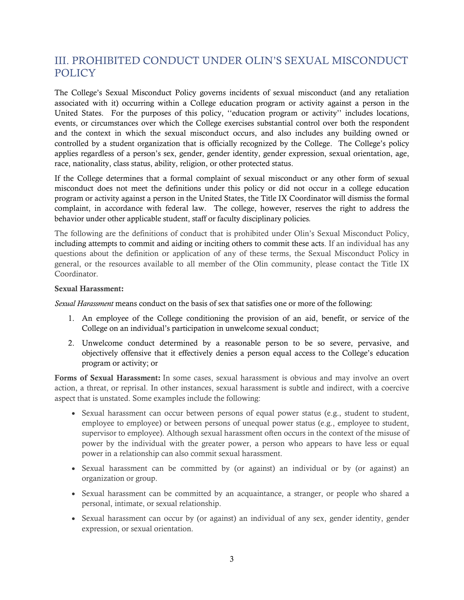# <span id="page-2-0"></span>III. PROHIBITED CONDUCT UNDER OLIN'S SEXUAL MISCONDUCT POLICY

The College's Sexual Misconduct Policy governs incidents of sexual misconduct (and any retaliation associated with it) occurring within a College education program or activity against a person in the United States. For the purposes of this policy, ''education program or activity'' includes locations, events, or circumstances over which the College exercises substantial control over both the respondent and the context in which the sexual misconduct occurs, and also includes any building owned or controlled by a student organization that is officially recognized by the College. The College's policy applies regardless of a person's sex, gender, gender identity, gender expression, sexual orientation, age, race, nationality, class status, ability, religion, or other protected status.

If the College determines that a formal complaint of sexual misconduct or any other form of sexual misconduct does not meet the definitions under this policy or did not occur in a college education program or activity against a person in the United States, the Title IX Coordinator will dismiss the formal complaint, in accordance with federal law. The college, however, reserves the right to address the behavior under other applicable student, staff or faculty disciplinary policies*.*

The following are the definitions of conduct that is prohibited under Olin's Sexual Misconduct Policy, including attempts to commit and aiding or inciting others to commit these acts. If an individual has any questions about the definition or application of any of these terms, the Sexual Misconduct Policy in general, or the resources available to all member of the Olin community, please contact the Title IX Coordinator.

#### Sexual Harassment:

*Sexual Harassment* means conduct on the basis of sex that satisfies one or more of the following:

- 1. An employee of the College conditioning the provision of an aid, benefit, or service of the College on an individual's participation in unwelcome sexual conduct;
- 2. Unwelcome conduct determined by a reasonable person to be so severe, pervasive, and objectively offensive that it effectively denies a person equal access to the College's education program or activity; or

Forms of Sexual Harassment: In some cases, sexual harassment is obvious and may involve an overt action, a threat, or reprisal. In other instances, sexual harassment is subtle and indirect, with a coercive aspect that is unstated. Some examples include the following:

- Sexual harassment can occur between persons of equal power status (e.g., student to student, employee to employee) or between persons of unequal power status (e.g., employee to student, supervisor to employee). Although sexual harassment often occurs in the context of the misuse of power by the individual with the greater power, a person who appears to have less or equal power in a relationship can also commit sexual harassment.
- Sexual harassment can be committed by (or against) an individual or by (or against) an organization or group.
- Sexual harassment can be committed by an acquaintance, a stranger, or people who shared a personal, intimate, or sexual relationship.
- Sexual harassment can occur by (or against) an individual of any sex, gender identity, gender expression, or sexual orientation.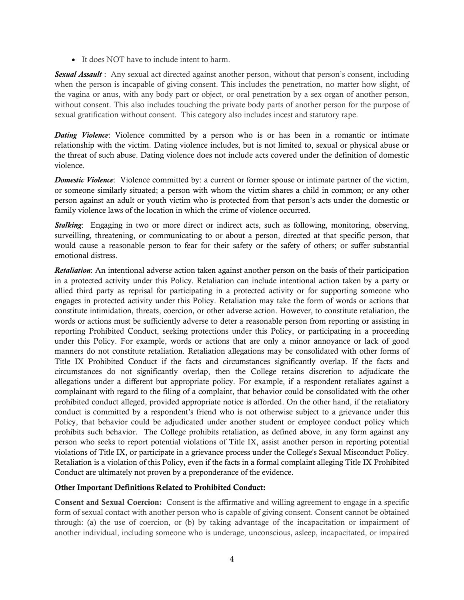• It does NOT have to include intent to harm.

*Sexual Assault* : Any sexual act directed against another person, without that person's consent, including when the person is incapable of giving consent. This includes the penetration, no matter how slight, of the vagina or anus, with any body part or object, or oral penetration by a sex organ of another person, without consent. This also includes touching the private body parts of another person for the purpose of sexual gratification without consent. This category also includes incest and statutory rape.

*Dating Violence*: Violence committed by a person who is or has been in a romantic or intimate relationship with the victim. Dating violence includes, but is not limited to, sexual or physical abuse or the threat of such abuse. Dating violence does not include acts covered under the definition of domestic violence.

*Domestic Violence*: Violence committed by: a current or former spouse or intimate partner of the victim, or someone similarly situated; a person with whom the victim shares a child in common; or any other person against an adult or youth victim who is protected from that person's acts under the domestic or family violence laws of the location in which the crime of violence occurred.

*Stalking*: Engaging in two or more direct or indirect acts, such as following, monitoring, observing, surveilling, threatening, or communicating to or about a person, directed at that specific person, that would cause a reasonable person to fear for their safety or the safety of others; or suffer substantial emotional distress.

*Retaliation*: An intentional adverse action taken against another person on the basis of their participation in a protected activity under this Policy. Retaliation can include intentional action taken by a party or allied third party as reprisal for participating in a protected activity or for supporting someone who engages in protected activity under this Policy. Retaliation may take the form of words or actions that constitute intimidation, threats, coercion, or other adverse action. However, to constitute retaliation, the words or actions must be sufficiently adverse to deter a reasonable person from reporting or assisting in reporting Prohibited Conduct, seeking protections under this Policy, or participating in a proceeding under this Policy. For example, words or actions that are only a minor annoyance or lack of good manners do not constitute retaliation. Retaliation allegations may be consolidated with other forms of Title IX Prohibited Conduct if the facts and circumstances significantly overlap. If the facts and circumstances do not significantly overlap, then the College retains discretion to adjudicate the allegations under a different but appropriate policy. For example, if a respondent retaliates against a complainant with regard to the filing of a complaint, that behavior could be consolidated with the other prohibited conduct alleged, provided appropriate notice is afforded. On the other hand, if the retaliatory conduct is committed by a respondent's friend who is not otherwise subject to a grievance under this Policy, that behavior could be adjudicated under another student or employee conduct policy which prohibits such behavior. The College prohibits retaliation, as defined above, in any form against any person who seeks to report potential violations of Title IX, assist another person in reporting potential violations of Title IX, or participate in a grievance process under the College's Sexual Misconduct Policy. Retaliation is a violation of this Policy, even if the facts in a formal complaint alleging Title IX Prohibited Conduct are ultimately not proven by a preponderance of the evidence.

#### Other Important Definitions Related to Prohibited Conduct:

Consent and Sexual Coercion: Consent is the affirmative and willing agreement to engage in a specific form of sexual contact with another person who is capable of giving consent. Consent cannot be obtained through: (a) the use of coercion, or (b) by taking advantage of the incapacitation or impairment of another individual, including someone who is underage, unconscious, asleep, incapacitated, or impaired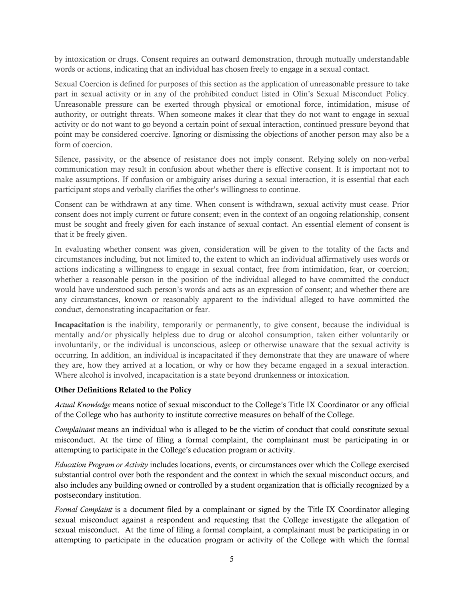by intoxication or drugs. Consent requires an outward demonstration, through mutually understandable words or actions, indicating that an individual has chosen freely to engage in a sexual contact.

Sexual Coercion is defined for purposes of this section as the application of unreasonable pressure to take part in sexual activity or in any of the prohibited conduct listed in Olin's Sexual Misconduct Policy. Unreasonable pressure can be exerted through physical or emotional force, intimidation, misuse of authority, or outright threats. When someone makes it clear that they do not want to engage in sexual activity or do not want to go beyond a certain point of sexual interaction, continued pressure beyond that point may be considered coercive. Ignoring or dismissing the objections of another person may also be a form of coercion.

Silence, passivity, or the absence of resistance does not imply consent. Relying solely on non-verbal communication may result in confusion about whether there is effective consent. It is important not to make assumptions. If confusion or ambiguity arises during a sexual interaction, it is essential that each participant stops and verbally clarifies the other's willingness to continue.

Consent can be withdrawn at any time. When consent is withdrawn, sexual activity must cease. Prior consent does not imply current or future consent; even in the context of an ongoing relationship, consent must be sought and freely given for each instance of sexual contact. An essential element of consent is that it be freely given.

In evaluating whether consent was given, consideration will be given to the totality of the facts and circumstances including, but not limited to, the extent to which an individual affirmatively uses words or actions indicating a willingness to engage in sexual contact, free from intimidation, fear, or coercion; whether a reasonable person in the position of the individual alleged to have committed the conduct would have understood such person's words and acts as an expression of consent; and whether there are any circumstances, known or reasonably apparent to the individual alleged to have committed the conduct, demonstrating incapacitation or fear.

Incapacitation is the inability, temporarily or permanently, to give consent, because the individual is mentally and/or physically helpless due to drug or alcohol consumption, taken either voluntarily or involuntarily, or the individual is unconscious, asleep or otherwise unaware that the sexual activity is occurring. In addition, an individual is incapacitated if they demonstrate that they are unaware of where they are, how they arrived at a location, or why or how they became engaged in a sexual interaction. Where alcohol is involved, incapacitation is a state beyond drunkenness or intoxication.

#### Other Definitions Related to the Policy

*Actual Knowledge* means notice of sexual misconduct to the College's Title IX Coordinator or any official of the College who has authority to institute corrective measures on behalf of the College.

*Complainant* means an individual who is alleged to be the victim of conduct that could constitute sexual misconduct. At the time of filing a formal complaint, the complainant must be participating in or attempting to participate in the College's education program or activity.

*Education Program or Activity* includes locations, events, or circumstances over which the College exercised substantial control over both the respondent and the context in which the sexual misconduct occurs, and also includes any building owned or controlled by a student organization that is officially recognized by a postsecondary institution.

*Formal Complaint* is a document filed by a complainant or signed by the Title IX Coordinator alleging sexual misconduct against a respondent and requesting that the College investigate the allegation of sexual misconduct. At the time of filing a formal complaint, a complainant must be participating in or attempting to participate in the education program or activity of the College with which the formal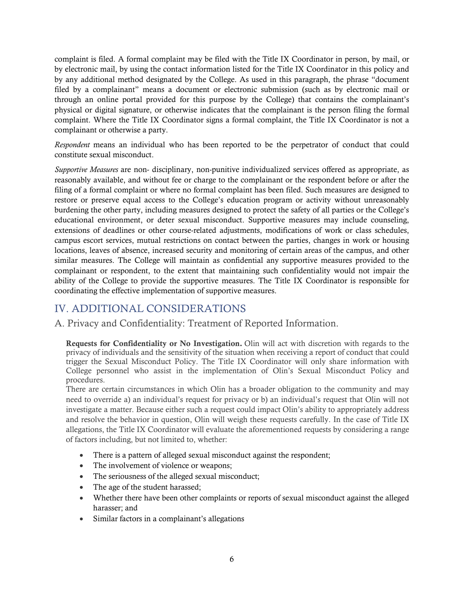complaint is filed. A formal complaint may be filed with the Title IX Coordinator in person, by mail, or by electronic mail, by using the contact information listed for the Title IX Coordinator in this policy and by any additional method designated by the College. As used in this paragraph, the phrase "document filed by a complainant" means a document or electronic submission (such as by electronic mail or through an online portal provided for this purpose by the College) that contains the complainant's physical or digital signature, or otherwise indicates that the complainant is the person filing the formal complaint. Where the Title IX Coordinator signs a formal complaint, the Title IX Coordinator is not a complainant or otherwise a party.

*Respondent* means an individual who has been reported to be the perpetrator of conduct that could constitute sexual misconduct.

*Supportive Measures* are non- disciplinary, non-punitive individualized services offered as appropriate, as reasonably available, and without fee or charge to the complainant or the respondent before or after the filing of a formal complaint or where no formal complaint has been filed. Such measures are designed to restore or preserve equal access to the College's education program or activity without unreasonably burdening the other party, including measures designed to protect the safety of all parties or the College's educational environment, or deter sexual misconduct. Supportive measures may include counseling, extensions of deadlines or other course-related adjustments, modifications of work or class schedules, campus escort services, mutual restrictions on contact between the parties, changes in work or housing locations, leaves of absence, increased security and monitoring of certain areas of the campus, and other similar measures. The College will maintain as confidential any supportive measures provided to the complainant or respondent, to the extent that maintaining such confidentiality would not impair the ability of the College to provide the supportive measures. The Title IX Coordinator is responsible for coordinating the effective implementation of supportive measures.

# <span id="page-5-0"></span>IV. ADDITIONAL CONSIDERATIONS

<span id="page-5-1"></span>A. Privacy and Confidentiality: Treatment of Reported Information.

Requests for Confidentiality or No Investigation. Olin will act with discretion with regards to the privacy of individuals and the sensitivity of the situation when receiving a report of conduct that could trigger the Sexual Misconduct Policy. The Title IX Coordinator will only share information with College personnel who assist in the implementation of Olin's Sexual Misconduct Policy and procedures.

There are certain circumstances in which Olin has a broader obligation to the community and may need to override a) an individual's request for privacy or b) an individual's request that Olin will not investigate a matter. Because either such a request could impact Olin's ability to appropriately address and resolve the behavior in question, Olin will weigh these requests carefully. In the case of Title IX allegations, the Title IX Coordinator will evaluate the aforementioned requests by considering a range of factors including, but not limited to, whether:

- There is a pattern of alleged sexual misconduct against the respondent;
- The involvement of violence or weapons;
- The seriousness of the alleged sexual misconduct;
- The age of the student harassed;
- Whether there have been other complaints or reports of sexual misconduct against the alleged harasser; and
- Similar factors in a complainant's allegations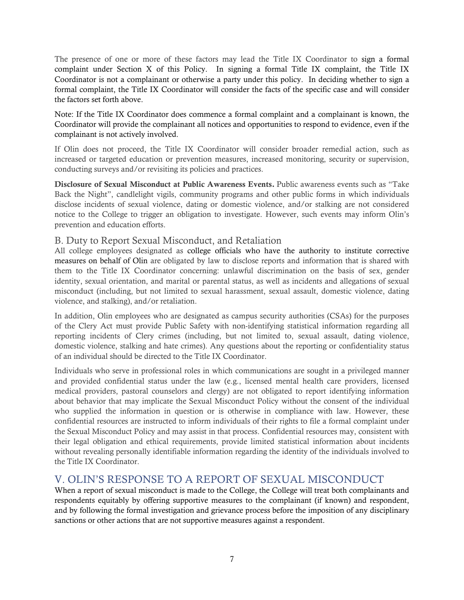The presence of one or more of these factors may lead the Title IX Coordinator to sign a formal complaint under Section X of this Policy. In signing a formal Title IX complaint, the Title IX Coordinator is not a complainant or otherwise a party under this policy. In deciding whether to sign a formal complaint, the Title IX Coordinator will consider the facts of the specific case and will consider the factors set forth above.

Note: If the Title IX Coordinator does commence a formal complaint and a complainant is known, the Coordinator will provide the complainant all notices and opportunities to respond to evidence, even if the complainant is not actively involved.

If Olin does not proceed, the Title IX Coordinator will consider broader remedial action, such as increased or targeted education or prevention measures, increased monitoring, security or supervision, conducting surveys and/or revisiting its policies and practices.

Disclosure of Sexual Misconduct at Public Awareness Events. Public awareness events such as "Take Back the Night", candlelight vigils, community programs and other public forms in which individuals disclose incidents of sexual violence, dating or domestic violence, and/or stalking are not considered notice to the College to trigger an obligation to investigate. However, such events may inform Olin's prevention and education efforts.

#### <span id="page-6-0"></span>B. Duty to Report Sexual Misconduct, and Retaliation

All college employees designated as college officials who have the authority to institute corrective measures on behalf of Olin are obligated by law to disclose reports and information that is shared with them to the Title IX Coordinator concerning: unlawful discrimination on the basis of sex, gender identity, sexual orientation, and marital or parental status, as well as incidents and allegations of sexual misconduct (including, but not limited to sexual harassment, sexual assault, domestic violence, dating violence, and stalking), and/or retaliation.

In addition, Olin employees who are designated as campus security authorities (CSAs) for the purposes of the Clery Act must provide Public Safety with non-identifying statistical information regarding all reporting incidents of Clery crimes (including, but not limited to, sexual assault, dating violence, domestic violence, stalking and hate crimes). Any questions about the reporting or confidentiality status of an individual should be directed to the Title IX Coordinator.

Individuals who serve in professional roles in which communications are sought in a privileged manner and provided confidential status under the law (e.g., licensed mental health care providers, licensed medical providers, pastoral counselors and clergy) are not obligated to report identifying information about behavior that may implicate the Sexual Misconduct Policy without the consent of the individual who supplied the information in question or is otherwise in compliance with law. However, these confidential resources are instructed to inform individuals of their rights to file a formal complaint under the Sexual Misconduct Policy and may assist in that process. Confidential resources may, consistent with their legal obligation and ethical requirements, provide limited statistical information about incidents without revealing personally identifiable information regarding the identity of the individuals involved to the Title IX Coordinator.

## <span id="page-6-1"></span>V. OLIN'S RESPONSE TO A REPORT OF SEXUAL MISCONDUCT

When a report of sexual misconduct is made to the College, the College will treat both complainants and respondents equitably by offering supportive measures to the complainant (if known) and respondent, and by following the formal investigation and grievance process before the imposition of any disciplinary sanctions or other actions that are not supportive measures against a respondent.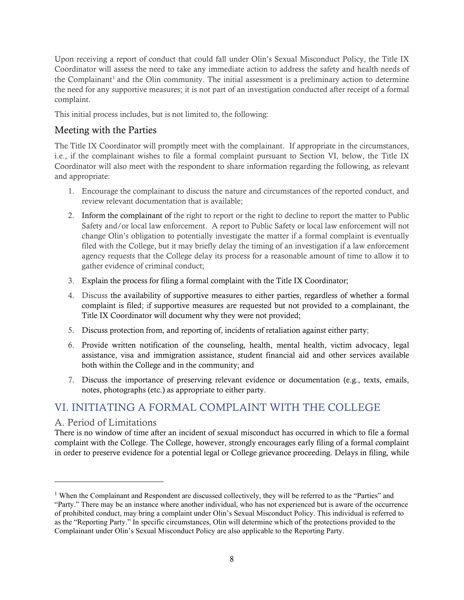Upon receiving a report of conduct that could fall under Olin's Sexual Misconduct Policy, the Title IX Coordinator will assess the need to take any immediate action to address the safety and health needs of the Complainant<sup>[1](#page-7-2)</sup> and the Olin community. The initial assessment is a preliminary action to determine the need for any supportive measures; it is not part of an investigation conducted after receipt of a formal complaint.

This initial process includes, but is not limited to, the following:

## Meeting with the Parties

The Title IX Coordinator will promptly meet with the complainant. If appropriate in the circumstances, i.e., if the complainant wishes to file a formal complaint pursuant to Section VI, below, the Title IX Coordinator will also meet with the respondent to share information regarding the following, as relevant and appropriate:

- 1. Encourage the complainant to discuss the nature and circumstances of the reported conduct, and review relevant documentation that is available;
- 2. Inform the complainant of the right to report or the right to decline to report the matter to Public Safety and/or local law enforcement. A report to Public Safety or local law enforcement will not change Olin's obligation to potentially investigate the matter if a formal complaint is eventually filed with the College, but it may briefly delay the timing of an investigation if a law enforcement agency requests that the College delay its process for a reasonable amount of time to allow it to gather evidence of criminal conduct;
- 3. Explain the process for filing a formal complaint with the Title IX Coordinator;
- 4. Discuss the availability of supportive measures to either parties, regardless of whether a formal complaint is filed; if supportive measures are requested but not provided to a complainant, the Title IX Coordinator will document why they were not provided;
- 5. Discuss protection from, and reporting of, incidents of retaliation against either party;
- 6. Provide written notification of the counseling, health, mental health, victim advocacy, legal assistance, visa and immigration assistance, student financial aid and other services available both within the College and in the community; and
- 7. Discuss the importance of preserving relevant evidence or documentation (e.g., texts, emails, notes, photographs (etc.) as appropriate to either party.

# <span id="page-7-0"></span>VI. INITIATING A FORMAL COMPLAINT WITH THE COLLEGE

### <span id="page-7-1"></span>A. Period of Limitations

There is no window of time after an incident of sexual misconduct has occurred in which to file a formal complaint with the College. The College, however, strongly encourages early filing of a formal complaint in order to preserve evidence for a potential legal or College grievance proceeding. Delays in filing, while

<span id="page-7-2"></span><sup>&</sup>lt;sup>1</sup> When the Complainant and Respondent are discussed collectively, they will be referred to as the "Parties" and "Party." There may be an instance where another individual, who has not experienced but is aware of the occurrence of prohibited conduct, may bring a complaint under Olin's Sexual Misconduct Policy. This individual is referred to as the "Reporting Party." In specific circumstances, Olin will determine which of the protections provided to the Complainant under Olin's Sexual Misconduct Policy are also applicable to the Reporting Party.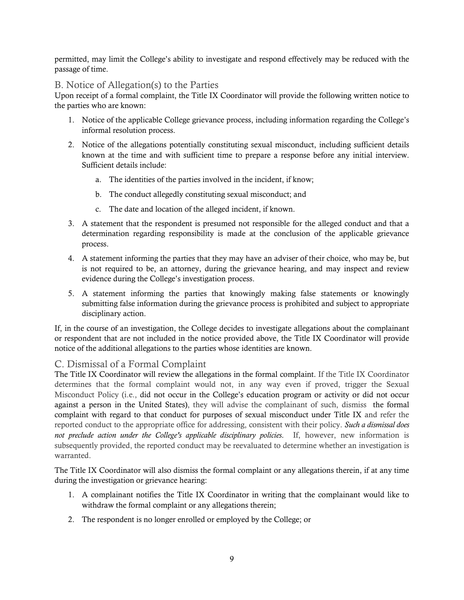permitted, may limit the College's ability to investigate and respond effectively may be reduced with the passage of time.

### <span id="page-8-0"></span>B. Notice of Allegation(s) to the Parties

Upon receipt of a formal complaint, the Title IX Coordinator will provide the following written notice to the parties who are known:

- 1. Notice of the applicable College grievance process, including information regarding the College's informal resolution process.
- 2. Notice of the allegations potentially constituting sexual misconduct, including sufficient details known at the time and with sufficient time to prepare a response before any initial interview. Sufficient details include:
	- a. The identities of the parties involved in the incident, if know;
	- b. The conduct allegedly constituting sexual misconduct; and
	- c. The date and location of the alleged incident, if known.
- 3. A statement that the respondent is presumed not responsible for the alleged conduct and that a determination regarding responsibility is made at the conclusion of the applicable grievance process.
- 4. A statement informing the parties that they may have an adviser of their choice, who may be, but is not required to be, an attorney, during the grievance hearing, and may inspect and review evidence during the College's investigation process.
- 5. A statement informing the parties that knowingly making false statements or knowingly submitting false information during the grievance process is prohibited and subject to appropriate disciplinary action.

If, in the course of an investigation, the College decides to investigate allegations about the complainant or respondent that are not included in the notice provided above, the Title IX Coordinator will provide notice of the additional allegations to the parties whose identities are known.

### <span id="page-8-1"></span>C. Dismissal of a Formal Complaint

The Title IX Coordinator will review the allegations in the formal complaint. If the Title IX Coordinator determines that the formal complaint would not, in any way even if proved, trigger the Sexual Misconduct Policy (i.e., did not occur in the College's education program or activity or did not occur against a person in the United States), they will advise the complainant of such, dismiss the formal complaint with regard to that conduct for purposes of sexual misconduct under Title IX and refer the reported conduct to the appropriate office for addressing, consistent with their policy. *Such a dismissal does not preclude action under the College's applicable disciplinary policies*. If, however, new information is subsequently provided, the reported conduct may be reevaluated to determine whether an investigation is warranted.

The Title IX Coordinator will also dismiss the formal complaint or any allegations therein, if at any time during the investigation or grievance hearing:

- 1. A complainant notifies the Title IX Coordinator in writing that the complainant would like to withdraw the formal complaint or any allegations therein;
- 2. The respondent is no longer enrolled or employed by the College; or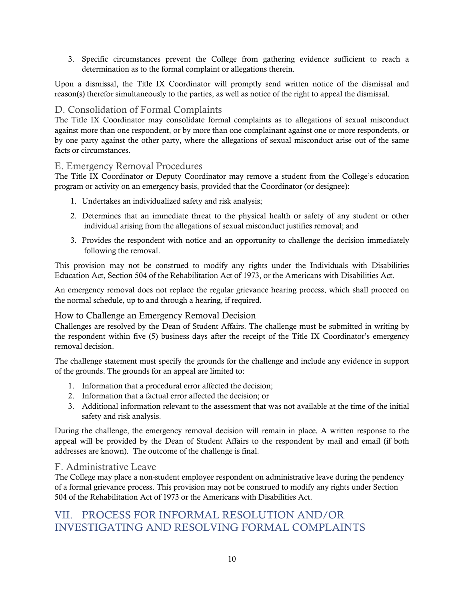3. Specific circumstances prevent the College from gathering evidence sufficient to reach a determination as to the formal complaint or allegations therein.

Upon a dismissal, the Title IX Coordinator will promptly send written notice of the dismissal and reason(s) therefor simultaneously to the parties, as well as notice of the right to appeal the dismissal.

## <span id="page-9-0"></span>D. Consolidation of Formal Complaints

The Title IX Coordinator may consolidate formal complaints as to allegations of sexual misconduct against more than one respondent, or by more than one complainant against one or more respondents, or by one party against the other party, where the allegations of sexual misconduct arise out of the same facts or circumstances.

### <span id="page-9-1"></span>E. Emergency Removal Procedures

The Title IX Coordinator or Deputy Coordinator may remove a student from the College's education program or activity on an emergency basis, provided that the Coordinator (or designee):

- 1. Undertakes an individualized safety and risk analysis;
- 2. Determines that an immediate threat to the physical health or safety of any student or other individual arising from the allegations of sexual misconduct justifies removal; and
- 3. Provides the respondent with notice and an opportunity to challenge the decision immediately following the removal.

This provision may not be construed to modify any rights under the Individuals with Disabilities Education Act, Section 504 of the Rehabilitation Act of 1973, or the Americans with Disabilities Act.

An emergency removal does not replace the regular grievance hearing process, which shall proceed on the normal schedule, up to and through a hearing, if required.

### How to Challenge an Emergency Removal Decision

Challenges are resolved by the Dean of Student Affairs. The challenge must be submitted in writing by the respondent within five (5) business days after the receipt of the Title IX Coordinator's emergency removal decision.

The challenge statement must specify the grounds for the challenge and include any evidence in support of the grounds. The grounds for an appeal are limited to:

- 1. Information that a procedural error affected the decision;
- 2. Information that a factual error affected the decision; or
- 3. Additional information relevant to the assessment that was not available at the time of the initial safety and risk analysis.

During the challenge, the emergency removal decision will remain in place. A written response to the appeal will be provided by the Dean of Student Affairs to the respondent by mail and email (if both addresses are known). The outcome of the challenge is final.

### <span id="page-9-2"></span>F. Administrative Leave

The College may place a non-student employee respondent on administrative leave during the pendency of a formal grievance process. This provision may not be construed to modify any rights under Section 504 of the Rehabilitation Act of 1973 or the Americans with Disabilities Act.

# <span id="page-9-3"></span>VII. PROCESS FOR INFORMAL RESOLUTION AND/OR INVESTIGATING AND RESOLVING FORMAL COMPLAINTS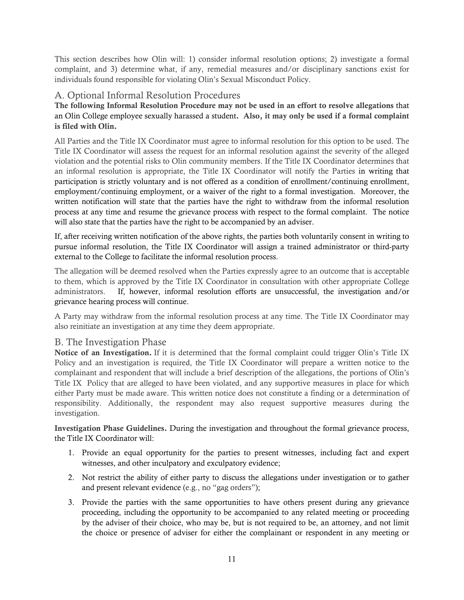This section describes how Olin will: 1) consider informal resolution options; 2) investigate a formal complaint, and 3) determine what, if any, remedial measures and/or disciplinary sanctions exist for individuals found responsible for violating Olin's Sexual Misconduct Policy.

## <span id="page-10-0"></span>A. Optional Informal Resolution Procedures

The following Informal Resolution Procedure may not be used in an effort to resolve allegations that an Olin College employee sexually harassed a student. Also, it may only be used if a formal complaint is filed with Olin.

All Parties and the Title IX Coordinator must agree to informal resolution for this option to be used. The Title IX Coordinator will assess the request for an informal resolution against the severity of the alleged violation and the potential risks to Olin community members. If the Title IX Coordinator determines that an informal resolution is appropriate, the Title IX Coordinator will notify the Parties in writing that participation is strictly voluntary and is not offered as a condition of enrollment/continuing enrollment, employment/continuing employment, or a waiver of the right to a formal investigation. Moreover, the written notification will state that the parties have the right to withdraw from the informal resolution process at any time and resume the grievance process with respect to the formal complaint. The notice will also state that the parties have the right to be accompanied by an adviser.

If, after receiving written notification of the above rights, the parties both voluntarily consent in writing to pursue informal resolution, the Title IX Coordinator will assign a trained administrator or third-party external to the College to facilitate the informal resolution process.

The allegation will be deemed resolved when the Parties expressly agree to an outcome that is acceptable to them, which is approved by the Title IX Coordinator in consultation with other appropriate College administrators. If, however, informal resolution efforts are unsuccessful, the investigation and/or grievance hearing process will continue.

A Party may withdraw from the informal resolution process at any time. The Title IX Coordinator may also reinitiate an investigation at any time they deem appropriate.

### <span id="page-10-1"></span>B. The Investigation Phase

Notice of an Investigation. If it is determined that the formal complaint could trigger Olin's Title IX Policy and an investigation is required, the Title IX Coordinator will prepare a written notice to the complainant and respondent that will include a brief description of the allegations, the portions of Olin's Title IX Policy that are alleged to have been violated, and any supportive measures in place for which either Party must be made aware. This written notice does not constitute a finding or a determination of responsibility. Additionally, the respondent may also request supportive measures during the investigation.

Investigation Phase Guidelines. During the investigation and throughout the formal grievance process, the Title IX Coordinator will:

- 1. Provide an equal opportunity for the parties to present witnesses, including fact and expert witnesses, and other inculpatory and exculpatory evidence;
- 2. Not restrict the ability of either party to discuss the allegations under investigation or to gather and present relevant evidence (e.g., no "gag orders");
- 3. Provide the parties with the same opportunities to have others present during any grievance proceeding, including the opportunity to be accompanied to any related meeting or proceeding by the adviser of their choice, who may be, but is not required to be, an attorney, and not limit the choice or presence of adviser for either the complainant or respondent in any meeting or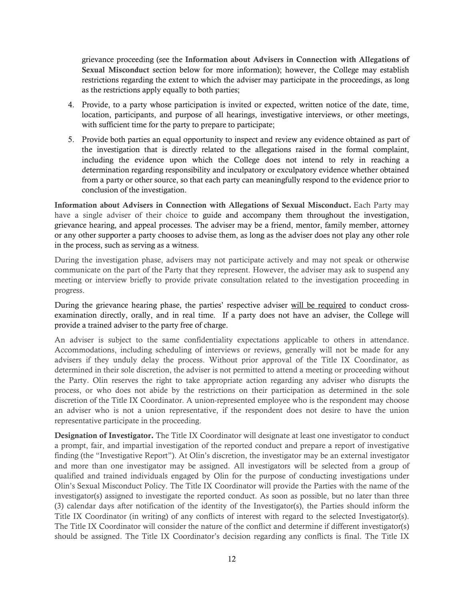grievance proceeding (see the Information about Advisers in Connection with Allegations of Sexual Misconduct section below for more information); however, the College may establish restrictions regarding the extent to which the adviser may participate in the proceedings, as long as the restrictions apply equally to both parties;

- 4. Provide, to a party whose participation is invited or expected, written notice of the date, time, location, participants, and purpose of all hearings, investigative interviews, or other meetings, with sufficient time for the party to prepare to participate;
- 5. Provide both parties an equal opportunity to inspect and review any evidence obtained as part of the investigation that is directly related to the allegations raised in the formal complaint, including the evidence upon which the College does not intend to rely in reaching a determination regarding responsibility and inculpatory or exculpatory evidence whether obtained from a party or other source, so that each party can meaningfully respond to the evidence prior to conclusion of the investigation.

Information about Advisers in Connection with Allegations of Sexual Misconduct. Each Party may have a single adviser of their choice to guide and accompany them throughout the investigation, grievance hearing, and appeal processes. The adviser may be a friend, mentor, family member, attorney or any other supporter a party chooses to advise them, as long as the adviser does not play any other role in the process, such as serving as a witness.

During the investigation phase, advisers may not participate actively and may not speak or otherwise communicate on the part of the Party that they represent. However, the adviser may ask to suspend any meeting or interview briefly to provide private consultation related to the investigation proceeding in progress.

During the grievance hearing phase, the parties' respective adviser will be required to conduct crossexamination directly, orally, and in real time. If a party does not have an adviser, the College will provide a trained adviser to the party free of charge.

An adviser is subject to the same confidentiality expectations applicable to others in attendance. Accommodations, including scheduling of interviews or reviews, generally will not be made for any advisers if they unduly delay the process. Without prior approval of the Title IX Coordinator, as determined in their sole discretion, the adviser is not permitted to attend a meeting or proceeding without the Party. Olin reserves the right to take appropriate action regarding any adviser who disrupts the process, or who does not abide by the restrictions on their participation as determined in the sole discretion of the Title IX Coordinator. A union-represented employee who is the respondent may choose an adviser who is not a union representative, if the respondent does not desire to have the union representative participate in the proceeding.

Designation of Investigator. The Title IX Coordinator will designate at least one investigator to conduct a prompt, fair, and impartial investigation of the reported conduct and prepare a report of investigative finding (the "Investigative Report"). At Olin's discretion, the investigator may be an external investigator and more than one investigator may be assigned. All investigators will be selected from a group of qualified and trained individuals engaged by Olin for the purpose of conducting investigations under Olin's Sexual Misconduct Policy. The Title IX Coordinator will provide the Parties with the name of the investigator(s) assigned to investigate the reported conduct. As soon as possible, but no later than three (3) calendar days after notification of the identity of the Investigator(s), the Parties should inform the Title IX Coordinator (in writing) of any conflicts of interest with regard to the selected Investigator(s). The Title IX Coordinator will consider the nature of the conflict and determine if different investigator(s) should be assigned. The Title IX Coordinator's decision regarding any conflicts is final. The Title IX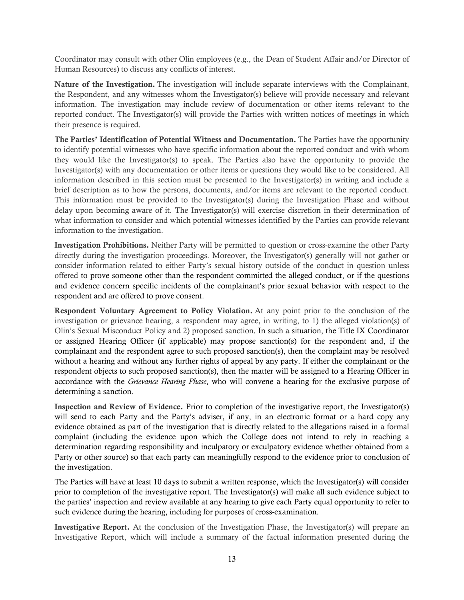Coordinator may consult with other Olin employees (e.g., the Dean of Student Affair and/or Director of Human Resources) to discuss any conflicts of interest.

Nature of the Investigation. The investigation will include separate interviews with the Complainant, the Respondent, and any witnesses whom the Investigator(s) believe will provide necessary and relevant information. The investigation may include review of documentation or other items relevant to the reported conduct. The Investigator(s) will provide the Parties with written notices of meetings in which their presence is required.

The Parties' Identification of Potential Witness and Documentation. The Parties have the opportunity to identify potential witnesses who have specific information about the reported conduct and with whom they would like the Investigator(s) to speak. The Parties also have the opportunity to provide the Investigator(s) with any documentation or other items or questions they would like to be considered. All information described in this section must be presented to the Investigator(s) in writing and include a brief description as to how the persons, documents, and/or items are relevant to the reported conduct. This information must be provided to the Investigator(s) during the Investigation Phase and without delay upon becoming aware of it. The Investigator(s) will exercise discretion in their determination of what information to consider and which potential witnesses identified by the Parties can provide relevant information to the investigation.

Investigation Prohibitions. Neither Party will be permitted to question or cross-examine the other Party directly during the investigation proceedings. Moreover, the Investigator(s) generally will not gather or consider information related to either Party's sexual history outside of the conduct in question unless offered to prove someone other than the respondent committed the alleged conduct, or if the questions and evidence concern specific incidents of the complainant's prior sexual behavior with respect to the respondent and are offered to prove consent.

Respondent Voluntary Agreement to Policy Violation. At any point prior to the conclusion of the investigation or grievance hearing, a respondent may agree, in writing, to 1) the alleged violation(s) of Olin's Sexual Misconduct Policy and 2) proposed sanction. In such a situation, the Title IX Coordinator or assigned Hearing Officer (if applicable) may propose sanction(s) for the respondent and, if the complainant and the respondent agree to such proposed sanction(s), then the complaint may be resolved without a hearing and without any further rights of appeal by any party. If either the complainant or the respondent objects to such proposed sanction(s), then the matter will be assigned to a Hearing Officer in accordance with the *Grievance Hearing Phase*, who will convene a hearing for the exclusive purpose of determining a sanction.

Inspection and Review of Evidence. Prior to completion of the investigative report, the Investigator(s) will send to each Party and the Party's adviser, if any, in an electronic format or a hard copy any evidence obtained as part of the investigation that is directly related to the allegations raised in a formal complaint (including the evidence upon which the College does not intend to rely in reaching a determination regarding responsibility and inculpatory or exculpatory evidence whether obtained from a Party or other source) so that each party can meaningfully respond to the evidence prior to conclusion of the investigation.

The Parties will have at least 10 days to submit a written response, which the Investigator(s) will consider prior to completion of the investigative report. The Investigator(s) will make all such evidence subject to the parties' inspection and review available at any hearing to give each Party equal opportunity to refer to such evidence during the hearing, including for purposes of cross-examination.

Investigative Report. At the conclusion of the Investigation Phase, the Investigator(s) will prepare an Investigative Report, which will include a summary of the factual information presented during the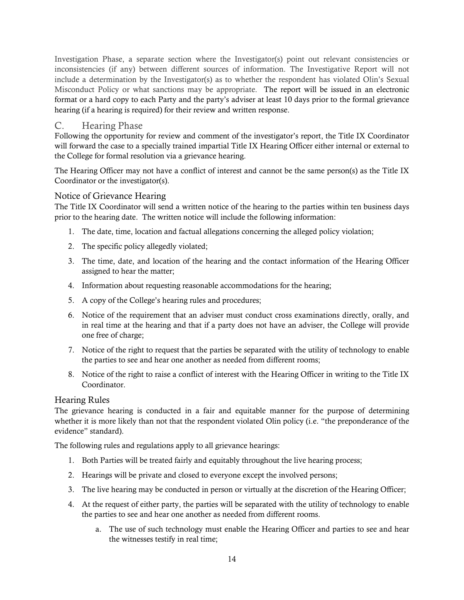Investigation Phase, a separate section where the Investigator(s) point out relevant consistencies or inconsistencies (if any) between different sources of information. The Investigative Report will not include a determination by the Investigator(s) as to whether the respondent has violated Olin's Sexual Misconduct Policy or what sanctions may be appropriate. The report will be issued in an electronic format or a hard copy to each Party and the party's adviser at least 10 days prior to the formal grievance hearing (if a hearing is required) for their review and written response.

### <span id="page-13-0"></span>C. Hearing Phase

Following the opportunity for review and comment of the investigator's report, the Title IX Coordinator will forward the case to a specially trained impartial Title IX Hearing Officer either internal or external to the College for formal resolution via a grievance hearing.

The Hearing Officer may not have a conflict of interest and cannot be the same person(s) as the Title IX Coordinator or the investigator(s).

## Notice of Grievance Hearing

The Title IX Coordinator will send a written notice of the hearing to the parties within ten business days prior to the hearing date. The written notice will include the following information:

- 1. The date, time, location and factual allegations concerning the alleged policy violation;
- 2. The specific policy allegedly violated;
- 3. The time, date, and location of the hearing and the contact information of the Hearing Officer assigned to hear the matter;
- 4. Information about requesting reasonable accommodations for the hearing;
- 5. A copy of the College's hearing rules and procedures;
- 6. Notice of the requirement that an adviser must conduct cross examinations directly, orally, and in real time at the hearing and that if a party does not have an adviser, the College will provide one free of charge;
- 7. Notice of the right to request that the parties be separated with the utility of technology to enable the parties to see and hear one another as needed from different rooms;
- 8. Notice of the right to raise a conflict of interest with the Hearing Officer in writing to the Title IX Coordinator.

#### Hearing Rules

The grievance hearing is conducted in a fair and equitable manner for the purpose of determining whether it is more likely than not that the respondent violated Olin policy (i.e. "the preponderance of the evidence" standard).

The following rules and regulations apply to all grievance hearings:

- 1. Both Parties will be treated fairly and equitably throughout the live hearing process;
- 2. Hearings will be private and closed to everyone except the involved persons;
- 3. The live hearing may be conducted in person or virtually at the discretion of the Hearing Officer;
- 4. At the request of either party, the parties will be separated with the utility of technology to enable the parties to see and hear one another as needed from different rooms.
	- a. The use of such technology must enable the Hearing Officer and parties to see and hear the witnesses testify in real time;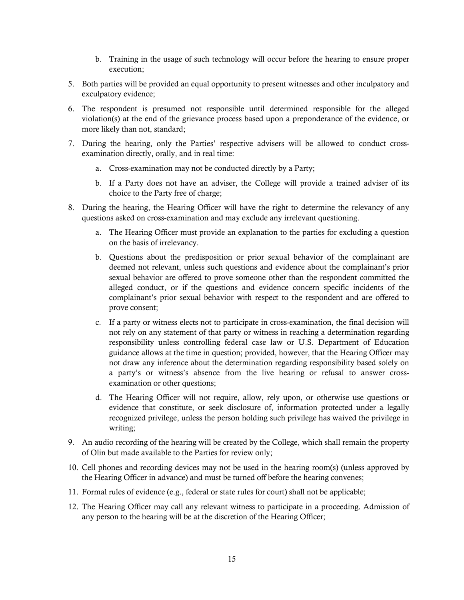- b. Training in the usage of such technology will occur before the hearing to ensure proper execution;
- 5. Both parties will be provided an equal opportunity to present witnesses and other inculpatory and exculpatory evidence;
- 6. The respondent is presumed not responsible until determined responsible for the alleged violation(s) at the end of the grievance process based upon a preponderance of the evidence, or more likely than not, standard;
- 7. During the hearing, only the Parties' respective advisers will be allowed to conduct crossexamination directly, orally, and in real time:
	- a. Cross-examination may not be conducted directly by a Party;
	- b. If a Party does not have an adviser, the College will provide a trained adviser of its choice to the Party free of charge;
- 8. During the hearing, the Hearing Officer will have the right to determine the relevancy of any questions asked on cross-examination and may exclude any irrelevant questioning.
	- a. The Hearing Officer must provide an explanation to the parties for excluding a question on the basis of irrelevancy.
	- b. Questions about the predisposition or prior sexual behavior of the complainant are deemed not relevant, unless such questions and evidence about the complainant's prior sexual behavior are offered to prove someone other than the respondent committed the alleged conduct, or if the questions and evidence concern specific incidents of the complainant's prior sexual behavior with respect to the respondent and are offered to prove consent;
	- c. If a party or witness elects not to participate in cross-examination, the final decision will not rely on any statement of that party or witness in reaching a determination regarding responsibility unless controlling federal case law or U.S. Department of Education guidance allows at the time in question; provided, however, that the Hearing Officer may not draw any inference about the determination regarding responsibility based solely on a party's or witness's absence from the live hearing or refusal to answer crossexamination or other questions;
	- d. The Hearing Officer will not require, allow, rely upon, or otherwise use questions or evidence that constitute, or seek disclosure of, information protected under a legally recognized privilege, unless the person holding such privilege has waived the privilege in writing;
- 9. An audio recording of the hearing will be created by the College, which shall remain the property of Olin but made available to the Parties for review only;
- 10. Cell phones and recording devices may not be used in the hearing room(s) (unless approved by the Hearing Officer in advance) and must be turned off before the hearing convenes;
- 11. Formal rules of evidence (e.g., federal or state rules for court) shall not be applicable;
- 12. The Hearing Officer may call any relevant witness to participate in a proceeding. Admission of any person to the hearing will be at the discretion of the Hearing Officer;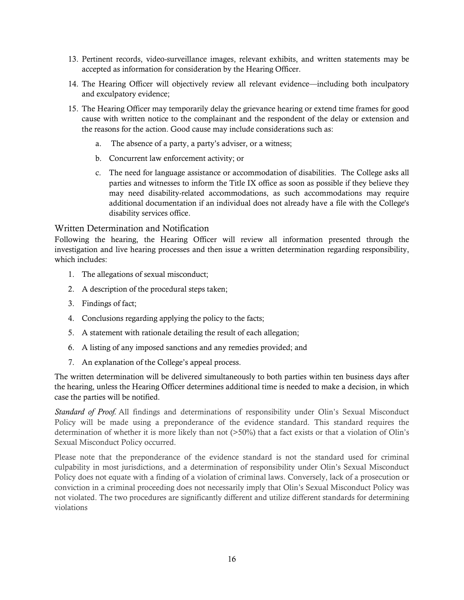- 13. Pertinent records, video-surveillance images, relevant exhibits, and written statements may be accepted as information for consideration by the Hearing Officer.
- 14. The Hearing Officer will objectively review all relevant evidence—including both inculpatory and exculpatory evidence;
- 15. The Hearing Officer may temporarily delay the grievance hearing or extend time frames for good cause with written notice to the complainant and the respondent of the delay or extension and the reasons for the action. Good cause may include considerations such as:
	- a. The absence of a party, a party's adviser, or a witness;
	- b. Concurrent law enforcement activity; or
	- c. The need for language assistance or accommodation of disabilities. The College asks all parties and witnesses to inform the Title IX office as soon as possible if they believe they may need disability-related accommodations, as such accommodations may require additional documentation if an individual does not already have a file with the College's disability services office.

#### Written Determination and Notification

Following the hearing, the Hearing Officer will review all information presented through the investigation and live hearing processes and then issue a written determination regarding responsibility, which includes:

- 1. The allegations of sexual misconduct;
- 2. A description of the procedural steps taken;
- 3. Findings of fact;
- 4. Conclusions regarding applying the policy to the facts;
- 5. A statement with rationale detailing the result of each allegation;
- 6. A listing of any imposed sanctions and any remedies provided; and
- 7. An explanation of the College's appeal process.

The written determination will be delivered simultaneously to both parties within ten business days after the hearing, unless the Hearing Officer determines additional time is needed to make a decision, in which case the parties will be notified.

*Standard of Proof.* All findings and determinations of responsibility under Olin's Sexual Misconduct Policy will be made using a preponderance of the evidence standard. This standard requires the determination of whether it is more likely than not (>50%) that a fact exists or that a violation of Olin's Sexual Misconduct Policy occurred.

Please note that the preponderance of the evidence standard is not the standard used for criminal culpability in most jurisdictions, and a determination of responsibility under Olin's Sexual Misconduct Policy does not equate with a finding of a violation of criminal laws. Conversely, lack of a prosecution or conviction in a criminal proceeding does not necessarily imply that Olin's Sexual Misconduct Policy was not violated. The two procedures are significantly different and utilize different standards for determining violations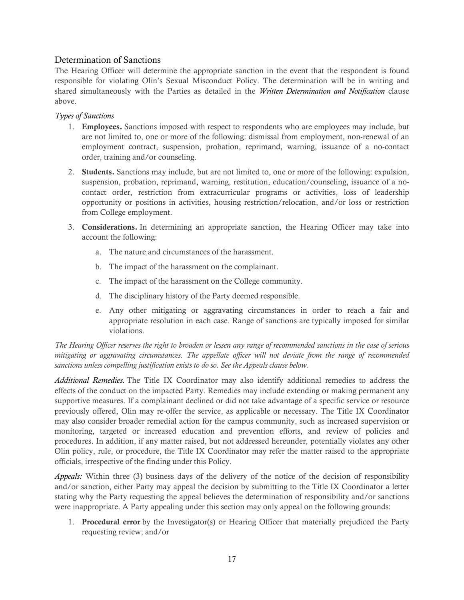#### Determination of Sanctions

The Hearing Officer will determine the appropriate sanction in the event that the respondent is found responsible for violating Olin's Sexual Misconduct Policy. The determination will be in writing and shared simultaneously with the Parties as detailed in the *Written Determination and Notification* clause above.

#### *Types of Sanctions*

- 1. Employees. Sanctions imposed with respect to respondents who are employees may include, but are not limited to, one or more of the following: dismissal from employment, non-renewal of an employment contract, suspension, probation, reprimand, warning, issuance of a no-contact order, training and/or counseling.
- 2. Students. Sanctions may include, but are not limited to, one or more of the following: expulsion, suspension, probation, reprimand, warning, restitution, education/counseling, issuance of a nocontact order, restriction from extracurricular programs or activities, loss of leadership opportunity or positions in activities, housing restriction/relocation, and/or loss or restriction from College employment.
- 3. Considerations. In determining an appropriate sanction, the Hearing Officer may take into account the following:
	- a. The nature and circumstances of the harassment.
	- b. The impact of the harassment on the complainant.
	- c. The impact of the harassment on the College community.
	- d. The disciplinary history of the Party deemed responsible.
	- e. Any other mitigating or aggravating circumstances in order to reach a fair and appropriate resolution in each case. Range of sanctions are typically imposed for similar violations.

*The Hearing Officer reserves the right to broaden or lessen any range of recommended sanctions in the case of serious mitigating or aggravating circumstances. The appellate officer will not deviate from the range of recommended sanctions unless compelling justification exists to do so. See the Appeals clause below.*

*Additional Remedies.* The Title IX Coordinator may also identify additional remedies to address the effects of the conduct on the impacted Party. Remedies may include extending or making permanent any supportive measures. If a complainant declined or did not take advantage of a specific service or resource previously offered, Olin may re-offer the service, as applicable or necessary. The Title IX Coordinator may also consider broader remedial action for the campus community, such as increased supervision or monitoring, targeted or increased education and prevention efforts, and review of policies and procedures. In addition, if any matter raised, but not addressed hereunder, potentially violates any other Olin policy, rule, or procedure, the Title IX Coordinator may refer the matter raised to the appropriate officials, irrespective of the finding under this Policy.

*Appeals:* Within three (3) business days of the delivery of the notice of the decision of responsibility and/or sanction, either Party may appeal the decision by submitting to the Title IX Coordinator a letter stating why the Party requesting the appeal believes the determination of responsibility and/or sanctions were inappropriate. A Party appealing under this section may only appeal on the following grounds:

1. Procedural error by the Investigator(s) or Hearing Officer that materially prejudiced the Party requesting review; and/or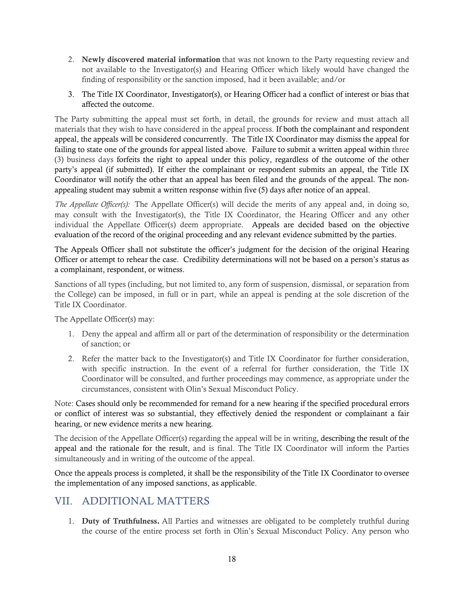- 2. Newly discovered material information that was not known to the Party requesting review and not available to the Investigator(s) and Hearing Officer which likely would have changed the finding of responsibility or the sanction imposed, had it been available; and/or
- 3. The Title IX Coordinator, Investigator(s), or Hearing Officer had a conflict of interest or bias that affected the outcome.

The Party submitting the appeal must set forth, in detail, the grounds for review and must attach all materials that they wish to have considered in the appeal process. If both the complainant and respondent appeal, the appeals will be considered concurrently. The Title IX Coordinator may dismiss the appeal for failing to state one of the grounds for appeal listed above. Failure to submit a written appeal within three (3) business days forfeits the right to appeal under this policy, regardless of the outcome of the other party's appeal (if submitted). If either the complainant or respondent submits an appeal, the Title IX Coordinator will notify the other that an appeal has been filed and the grounds of the appeal. The nonappealing student may submit a written response within five (5) days after notice of an appeal.

*The Appellate Officer(s):* The Appellate Officer(s) will decide the merits of any appeal and, in doing so, may consult with the Investigator(s), the Title IX Coordinator, the Hearing Officer and any other individual the Appellate Officer(s) deem appropriate. Appeals are decided based on the objective evaluation of the record of the original proceeding and any relevant evidence submitted by the parties.

The Appeals Officer shall not substitute the officer's judgment for the decision of the original Hearing Officer or attempt to rehear the case. Credibility determinations will not be based on a person's status as a complainant, respondent, or witness.

Sanctions of all types (including, but not limited to, any form of suspension, dismissal, or separation from the College) can be imposed, in full or in part, while an appeal is pending at the sole discretion of the Title IX Coordinator.

The Appellate Officer(s) may:

- 1. Deny the appeal and affirm all or part of the determination of responsibility or the determination of sanction; or
- 2. Refer the matter back to the Investigator(s) and Title IX Coordinator for further consideration, with specific instruction. In the event of a referral for further consideration, the Title IX Coordinator will be consulted, and further proceedings may commence, as appropriate under the circumstances, consistent with Olin's Sexual Misconduct Policy.

Note: Cases should only be recommended for remand for a new hearing if the specified procedural errors or conflict of interest was so substantial, they effectively denied the respondent or complainant a fair hearing, or new evidence merits a new hearing.

The decision of the Appellate Officer(s) regarding the appeal will be in writing, describing the result of the appeal and the rationale for the result, and is final. The Title IX Coordinator will inform the Parties simultaneously and in writing of the outcome of the appeal.

Once the appeals process is completed, it shall be the responsibility of the Title IX Coordinator to oversee the implementation of any imposed sanctions, as applicable.

## <span id="page-17-0"></span>VII. ADDITIONAL MATTERS

1. Duty of Truthfulness. All Parties and witnesses are obligated to be completely truthful during the course of the entire process set forth in Olin's Sexual Misconduct Policy. Any person who